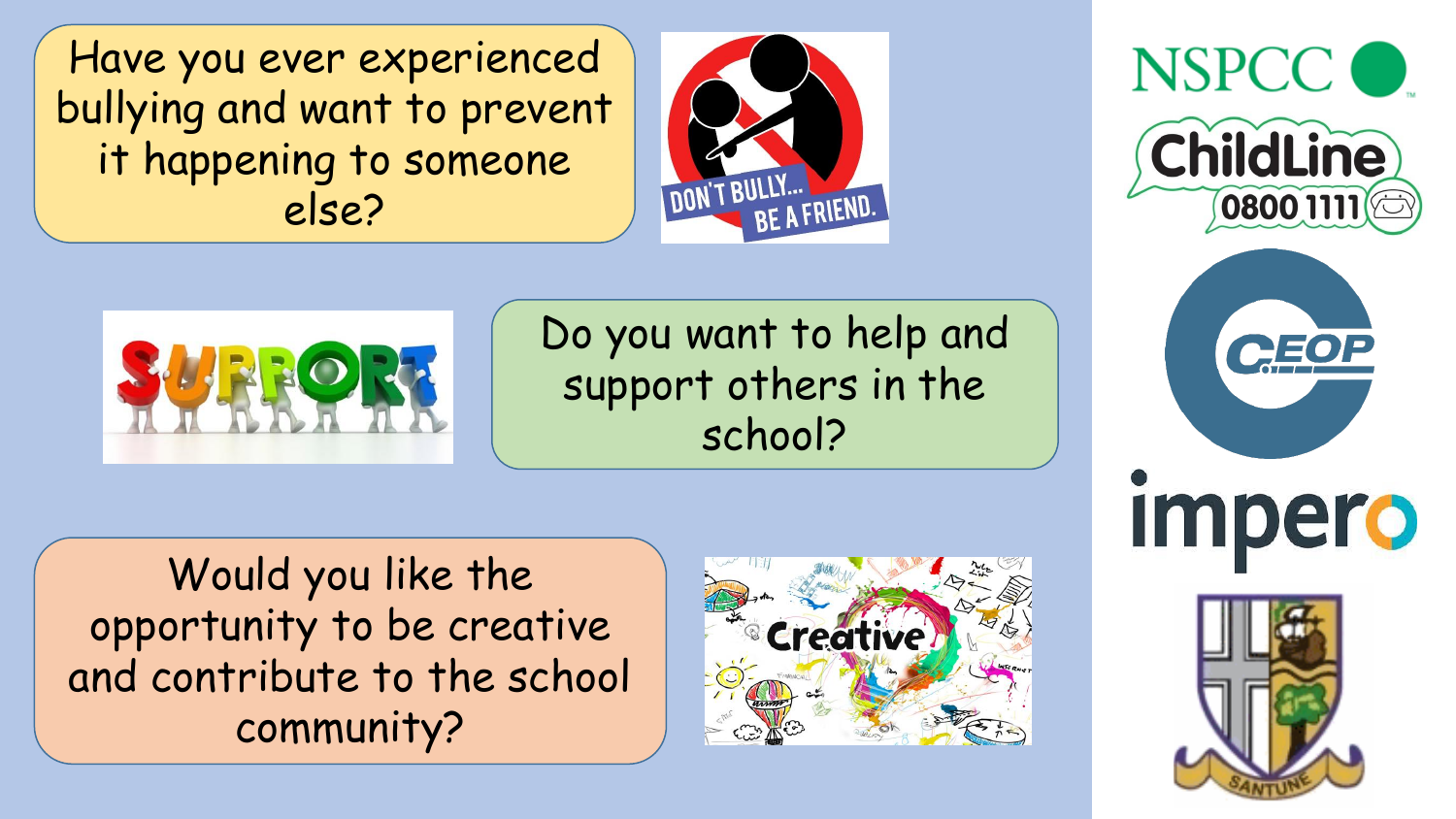Have you ever experienced bullying and want to prevent it happening to someone else?





impero



Do you want to help and support others in the school?

Would you like the opportunity to be creative and contribute to the school community?

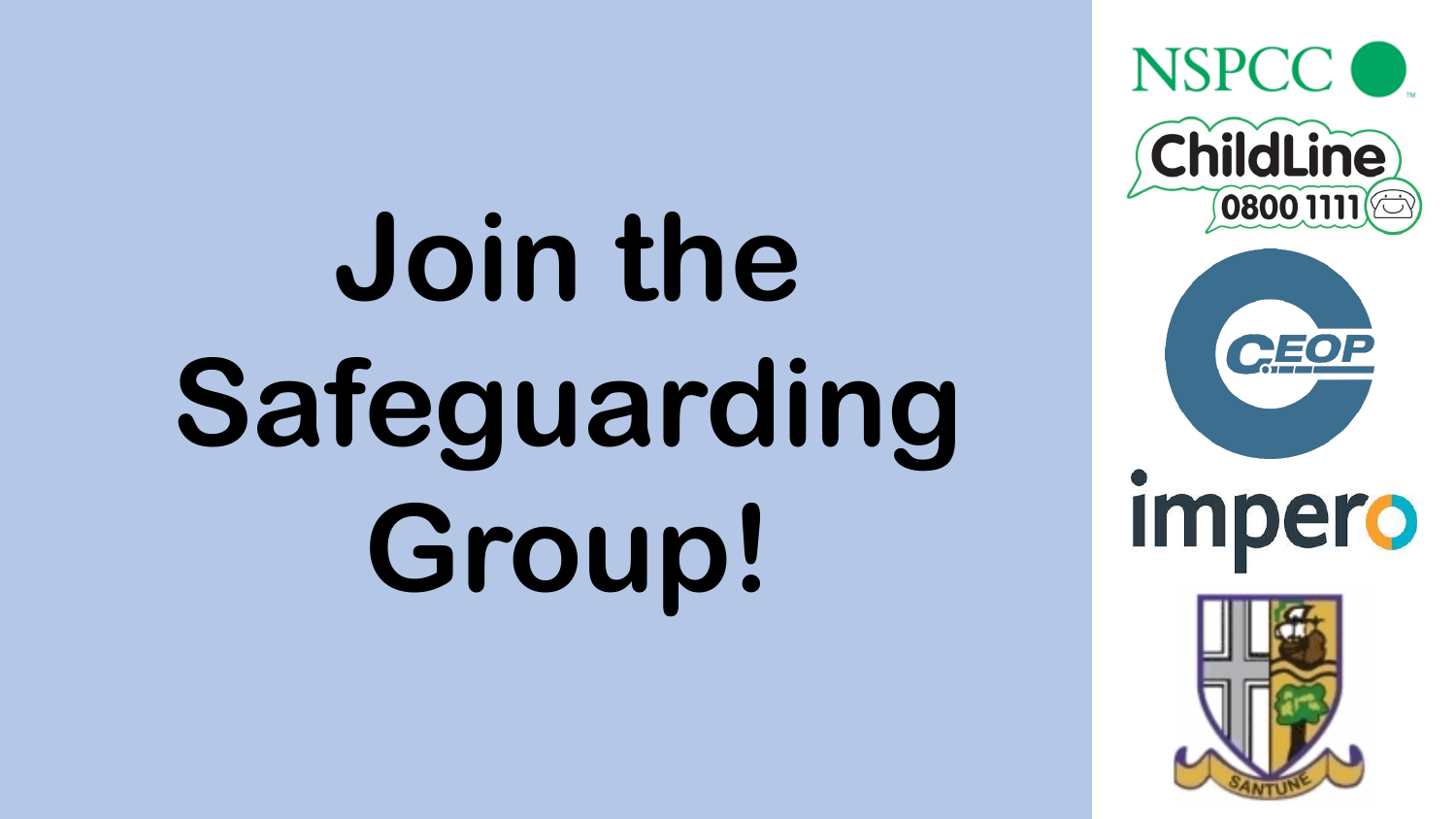## **Join the Safeguarding Group!**

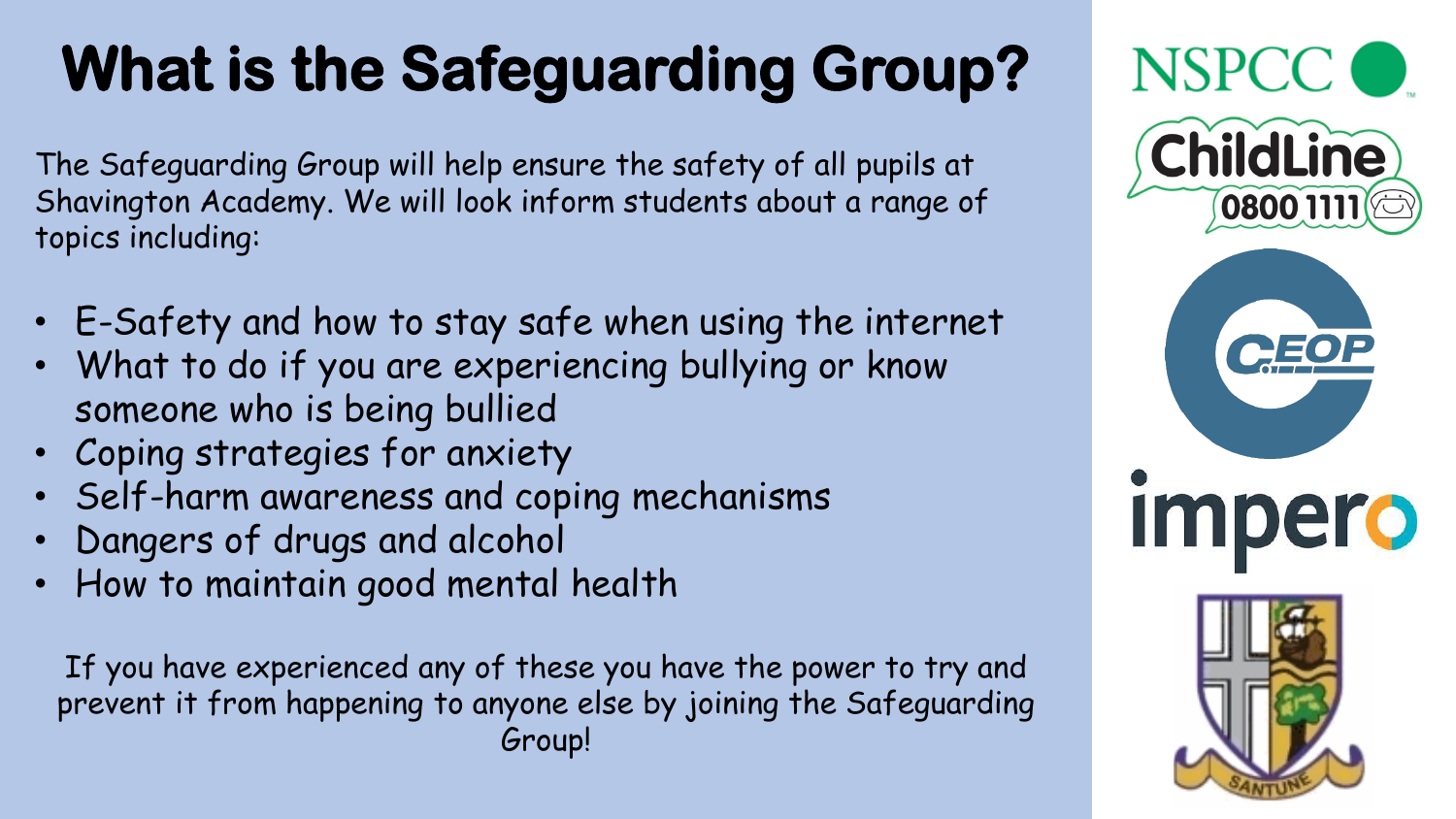## **What is the Safeguarding Group?**

The Safeguarding Group will help ensure the safety of all pupils at Shavington Academy. We will look inform students about a range of topics including:

- E-Safety and how to stay safe when using the internet
- What to do if you are experiencing bullying or know someone who is being bullied
- Coping strategies for anxiety
- Self-harm awareness and coping mechanisms
- Dangers of drugs and alcohol
- How to maintain good mental health

If you have experienced any of these you have the power to try and prevent it from happening to anyone else by joining the Safeguarding Group!

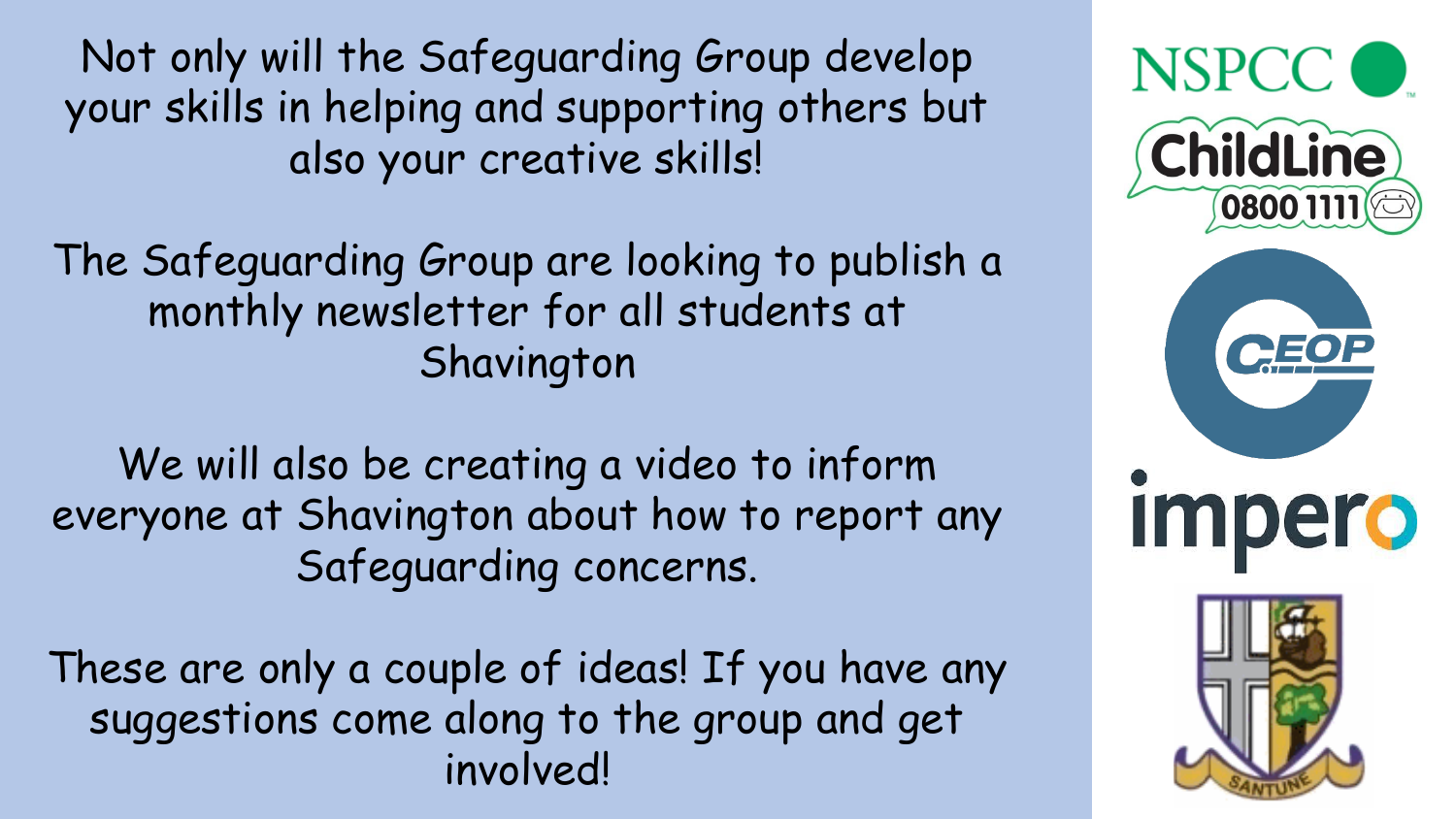Not only will the Safeguarding Group develop your skills in helping and supporting others but also your creative skills!

The Safeguarding Group are looking to publish a monthly newsletter for all students at Shavington

We will also be creating a video to inform everyone at Shavington about how to report any Safeguarding concerns.

These are only a couple of ideas! If you have any suggestions come along to the group and get involved!